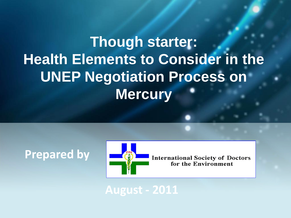# **Though starter: Health Elements to Consider in the UNEP Negotiation Process on Mercury**

**Prepared by** 



**International Society of Doctors** for the Environment

**August - 2011**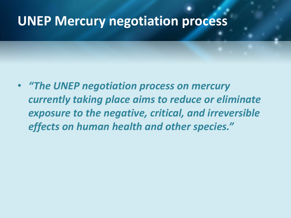#### **UNEP Mercury negotiation process**

• *"The UNEP negotiation process on mercury currently taking place aims to reduce or eliminate exposure to the negative, critical, and irreversible effects on human health and other species."*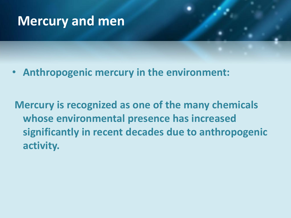## **Mercury and men**

• **Anthropogenic mercury in the environment:**

**Mercury is recognized as one of the many chemicals whose environmental presence has increased significantly in recent decades due to anthropogenic activity.**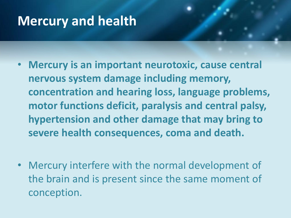# **Mercury and health**

- **Mercury is an important neurotoxic, cause central nervous system damage including memory, concentration and hearing loss, language problems, motor functions deficit, paralysis and central palsy, hypertension and other damage that may bring to severe health consequences, coma and death.**
- Mercury interfere with the normal development of the brain and is present since the same moment of conception.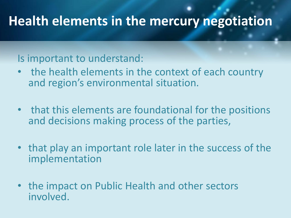#### Is important to understand:

- the health elements in the context of each country and region's environmental situation.
- that this elements are foundational for the positions and decisions making process of the parties,
- that play an important role later in the success of the implementation
- the impact on Public Health and other sectors involved.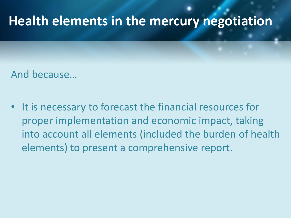And because…

It is necessary to forecast the financial resources for proper implementation and economic impact, taking into account all elements (included the burden of health elements) to present a comprehensive report.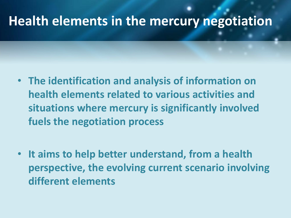- **The identification and analysis of information on health elements related to various activities and situations where mercury is significantly involved fuels the negotiation process**
- **It aims to help better understand, from a health perspective, the evolving current scenario involving different elements**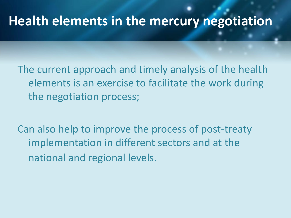The current approach and timely analysis of the health elements is an exercise to facilitate the work during the negotiation process;

Can also help to improve the process of post-treaty implementation in different sectors and at the national and regional levels.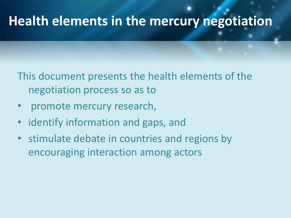This document presents the health elements of the negotiation process so as to

- promote mercury research,
- identify information and gaps, and
- stimulate debate in countries and regions by encouraging interaction among actors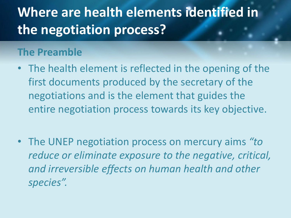# **Where are health elements identified in the negotiation process?**

#### **The Preamble**

- The health element is reflected in the opening of the first documents produced by the secretary of the negotiations and is the element that guides the entire negotiation process towards its key objective.
- The UNEP negotiation process on mercury aims *"to reduce or eliminate exposure to the negative, critical, and irreversible effects on human health and other species".*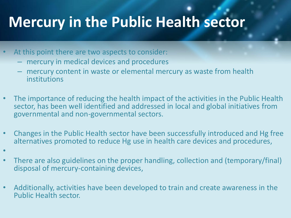# **Mercury in the Public Health sector**

- At this point there are two aspects to consider:
	- mercury in medical devices and procedures
	- mercury content in waste or elemental mercury as waste from health institutions
- The importance of reducing the health impact of the activities in the Public Health sector, has been well identified and addressed in local and global initiatives from governmental and non-governmental sectors.
- Changes in the Public Health sector have been successfully introduced and Hg free alternatives promoted to reduce Hg use in health care devices and procedures,
- •
- There are also guidelines on the proper handling, collection and (temporary/final) disposal of mercury-containing devices,
- Additionally, activities have been developed to train and create awareness in the Public Health sector.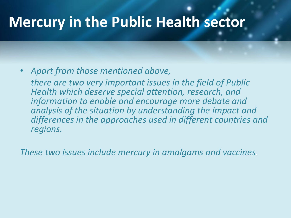# **Mercury in the Public Health sector**

#### • *Apart from those mentioned above,*

 *there are two very important issues in the field of Public Health which deserve special attention, research, and information to enable and encourage more debate and analysis of the situation by understanding the impact and differences in the approaches used in different countries and regions.*

*These two issues include mercury in amalgams and vaccines.*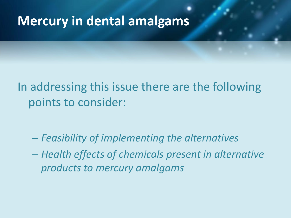#### **Mercury in dental amalgams**

In addressing this issue there are the following points to consider:

– *Feasibility of implementing the alternatives*

– *Health effects of chemicals present in alternative products to mercury amalgams*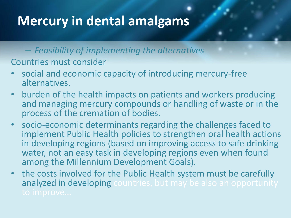# **Mercury in dental amalgams**

– *Feasibility of implementing the alternatives*

Countries must consider

- social and economic capacity of introducing mercury-free alternatives.
- burden of the health impacts on patients and workers producing and managing mercury compounds or handling of waste or in the process of the cremation of bodies.
- socio-economic determinants regarding the challenges faced to implement Public Health policies to strengthen oral health actions in developing regions (based on improving access to safe drinking water, not an easy task in developing regions even when found among the Millennium Development Goals).
- the costs involved for the Public Health system must be carefully analyzed in developing countries, but may be also an opportunity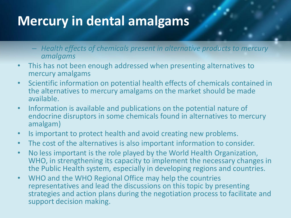# **Mercury in dental amalgams**

- *Health effects of chemicals present in alternative products to mercury amalgams*
- This has not been enough addressed when presenting alternatives to mercury amalgams
- Scientific information on potential health effects of chemicals contained in the alternatives to mercury amalgams on the market should be made available.
- Information is available and publications on the potential nature of endocrine disruptors in some chemicals found in alternatives to mercury amalgam)
- Is important to protect health and avoid creating new problems.
- The cost of the alternatives is also important information to consider.
- No less important is the role played by the World Health Organization, WHO, in strengthening its capacity to implement the necessary changes in the Public Health system, especially in developing regions and countries.
- WHO and the WHO Regional Office may help the countries representatives and lead the discussions on this topic by presenting strategies and action plans during the negotiation process to facilitate and support decision making.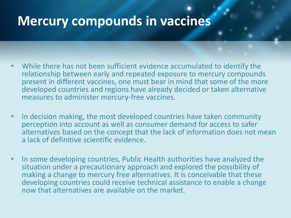- While there has not been sufficient evidence accumulated to identify the relationship between early and repeated exposure to mercury compounds present in different vaccines, one must bear in mind that some of the more developed countries and regions have already decided or taken alternative measures to administer mercury-free vaccines.
- In decision making, the most developed countries have taken community perception into account as well as consumer demand for access to safer alternatives based on the concept that the lack of information does not mean a lack of definitive scientific evidence.
- In some developing countries, Public Health authorities have analyzed the situation under a precautionary approach and explored the possibility of making a change to mercury free alternatives. It is conceivable that these developing countries could receive technical assistance to enable a change now that alternatives are available on the market.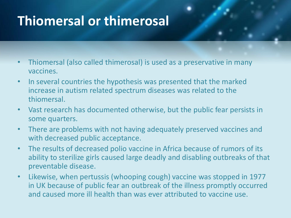# **Thiomersal or thimerosal**

- Thiomersal (also called thimerosal) is used as a preservative in many vaccines.
- In several countries the hypothesis was presented that the marked increase in autism related spectrum diseases was related to the thiomersal.
- Vast research has documented otherwise, but the public fear persists in some quarters.
- There are problems with not having adequately preserved vaccines and with decreased public acceptance.
- The results of decreased polio vaccine in Africa because of rumors of its ability to sterilize girls caused large deadly and disabling outbreaks of that preventable disease.
- Likewise, when pertussis (whooping cough) vaccine was stopped in 1977 in UK because of public fear an outbreak of the illness promptly occurred and caused more ill health than was ever attributed to vaccine use.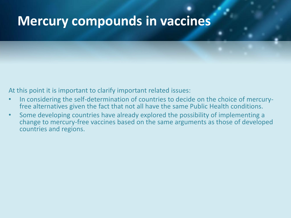At this point it is important to clarify important related issues:

- In considering the self-determination of countries to decide on the choice of mercuryfree alternatives given the fact that not all have the same Public Health conditions.
- Some developing countries have already explored the possibility of implementing a change to mercury-free vaccines based on the same arguments as those of developed countries and regions.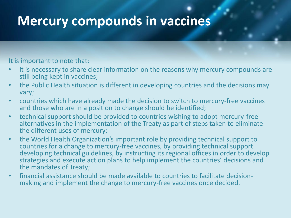It is important to note that:

- it is necessary to share clear information on the reasons why mercury compounds are still being kept in vaccines;
- the Public Health situation is different in developing countries and the decisions may vary;
- countries which have already made the decision to switch to mercury-free vaccines and those who are in a position to change should be identified;
- technical support should be provided to countries wishing to adopt mercury-free alternatives in the implementation of the Treaty as part of steps taken to eliminate the different uses of mercury;
- the World Health Organization's important role by providing technical support to countries for a change to mercury-free vaccines, by providing technical support developing technical guidelines, by instructing its regional offices in order to develop strategies and execute action plans to help implement the countries' decisions and the mandates of Treaty;
- financial assistance should be made available to countries to facilitate decisionmaking and implement the change to mercury-free vaccines once decided.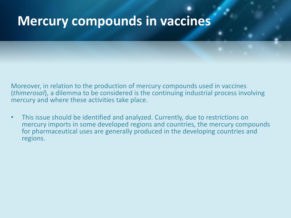Moreover, in relation to the production of mercury compounds used in vaccines (*thimerosal*), a dilemma to be considered is the continuing industrial process involving mercury and where these activities take place.

• This issue should be identified and analyzed. Currently, due to restrictions on mercury imports in some developed regions and countries, the mercury compounds for pharmaceutical uses are generally produced in the developing countries and regions.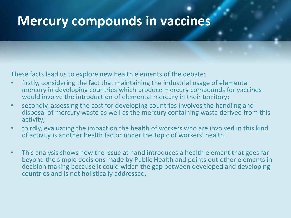These facts lead us to explore new health elements of the debate:

- firstly, considering the fact that maintaining the industrial usage of elemental mercury in developing countries which produce mercury compounds for vaccines would involve the introduction of elemental mercury in their territory;
- secondly, assessing the cost for developing countries involves the handling and disposal of mercury waste as well as the mercury containing waste derived from this activity;
- thirdly, evaluating the impact on the health of workers who are involved in this kind of activity is another health factor under the topic of workers' health.
- This analysis shows how the issue at hand introduces a health element that goes far beyond the simple decisions made by Public Health and points out other elements in decision making because it could widen the gap between developed and developing countries and is not holistically addressed.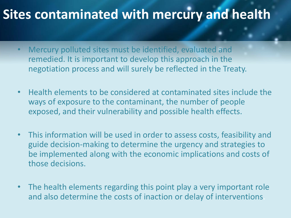### **Sites contaminated with mercury and health**

- Mercury polluted sites must be identified, evaluated and remedied. It is important to develop this approach in the negotiation process and will surely be reflected in the Treaty.
- Health elements to be considered at contaminated sites include the ways of exposure to the contaminant, the number of people exposed, and their vulnerability and possible health effects.
- This information will be used in order to assess costs, feasibility and guide decision-making to determine the urgency and strategies to be implemented along with the economic implications and costs of those decisions.
- The health elements regarding this point play a very important role and also determine the costs of inaction or delay of interventions.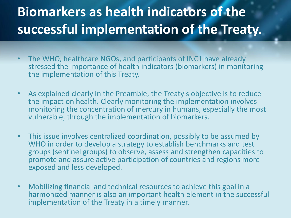# **Biomarkers as health indicators of the successful implementation of the Treaty.**

- The WHO, healthcare NGOs, and participants of INC1 have already stressed the importance of health indicators (biomarkers) in monitoring the implementation of this Treaty.
- As explained clearly in the Preamble, the Treaty's objective is to reduce the impact on health. Clearly monitoring the implementation involves monitoring the concentration of mercury in humans, especially the most vulnerable, through the implementation of biomarkers.
- This issue involves centralized coordination, possibly to be assumed by WHO in order to develop a strategy to establish benchmarks and test groups (sentinel groups) to observe, assess and strengthen capacities to promote and assure active participation of countries and regions more exposed and less developed.
- Mobilizing financial and technical resources to achieve this goal in a harmonized manner is also an important health element in the successful implementation of the Treaty in a timely manner.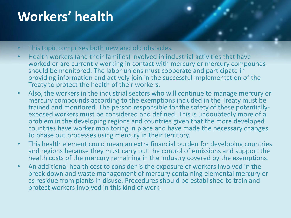# **Workers' health**

- This topic comprises both new and old obstacles.
- Health workers (and their families) involved in industrial activities that have worked or are currently working in contact with mercury or mercury compounds should be monitored. The labor unions must cooperate and participate in providing information and actively join in the successful implementation of the Treaty to protect the health of their workers.
- Also, the workers in the industrial sectors who will continue to manage mercury or mercury compounds according to the exemptions included in the Treaty must be trained and monitored. The person responsible for the safety of these potentiallyexposed workers must be considered and defined. This is undoubtedly more of a problem in the developing regions and countries given that the more developed countries have worker monitoring in place and have made the necessary changes to phase out processes using mercury in their territory.
- This health element could mean an extra financial burden for developing countries and regions because they must carry out the control of emissions and support the health costs of the mercury remaining in the industry covered by the exemptions.
- An additional health cost to consider is the exposure of workers involved in the break down and waste management of mercury containing elemental mercury or as residue from plants in disuse. Procedures should be established to train and protect workers involved in this kind of work.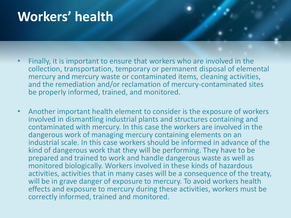## **Workers' health**

- Finally, it is important to ensure that workers who are involved in the collection, transportation, temporary or permanent disposal of elemental mercury and mercury waste or contaminated items, cleaning activities, and the remediation and/or reclamation of mercury-contaminated sites be properly informed, trained, and monitored.
- Another important health element to consider is the exposure of workers involved in dismantling industrial plants and structures containing and contaminated with mercury. In this case the workers are involved in the dangerous work of managing mercury containing elements on an industrial scale. In this case workers should be informed in advance of the kind of dangerous work that they will be performing. They have to be prepared and trained to work and handle dangerous waste as well as monitored biologically. Workers involved in these kinds of hazardous activities, activities that in many cases will be a consequence of the treaty, will be in grave danger of exposure to mercury. To avoid workers health effects and exposure to mercury during these activities, workers must be correctly informed, trained and monitored.